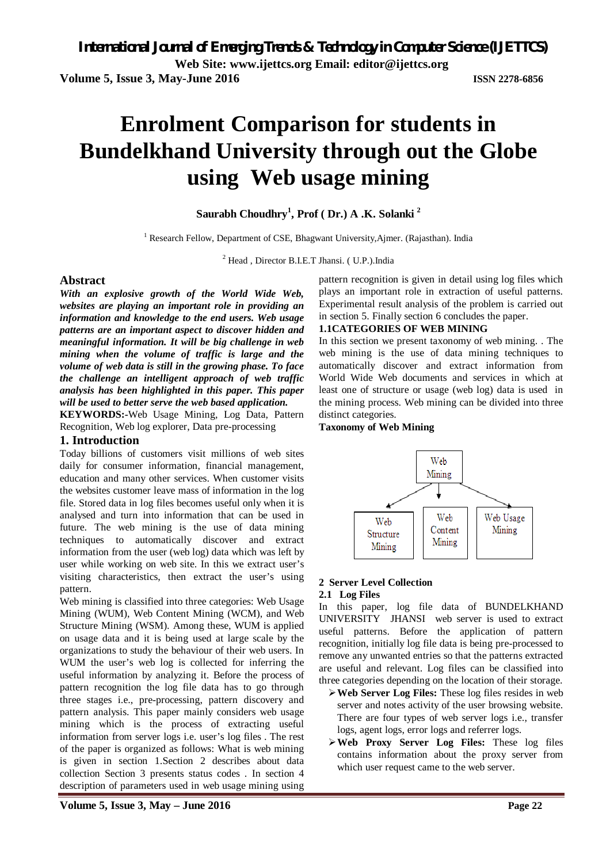**Volume 5, Issue 3, May-June 2016 ISSN 2278-6856**

# **Enrolment Comparison for students in Bundelkhand University through out the Globe using Web usage mining**

### **Saurabh Choudhry 1 , Prof ( Dr.) A .K. Solanki <sup>2</sup>**

<sup>1</sup> Research Fellow, Department of CSE, Bhagwant University, Ajmer. (Rajasthan). India

<sup>2</sup> Head , Director B.I.E.T Jhansi. ( U.P.).India

#### **Abstract**

*With an explosive growth of the World Wide Web, websites are playing an important role in providing an information and knowledge to the end users. Web usage patterns are an important aspect to discover hidden and meaningful information. It will be big challenge in web mining when the volume of traffic is large and the volume of web data is still in the growing phase. To face the challenge an intelligent approach of web traffic analysis has been highlighted in this paper. This paper will be used to better serve the web based application.*

**KEYWORDS:-**Web Usage Mining, Log Data, Pattern Recognition, Web log explorer, Data pre-processing

#### **1. Introduction**

Today billions of customers visit millions of web sites daily for consumer information, financial management, education and many other services. When customer visits the websites customer leave mass of information in the log file. Stored data in log files becomes useful only when it is analysed and turn into information that can be used in future. The web mining is the use of data mining techniques to automatically discover and extract information from the user (web log) data which was left by user while working on web site. In this we extract user's visiting characteristics, then extract the user's using pattern.

Web mining is classified into three categories: Web Usage Mining (WUM), Web Content Mining (WCM), and Web Structure Mining (WSM). Among these, WUM is applied on usage data and it is being used at large scale by the organizations to study the behaviour of their web users. In WUM the user's web log is collected for inferring the useful information by analyzing it. Before the process of pattern recognition the log file data has to go through three stages i.e., pre-processing, pattern discovery and pattern analysis. This paper mainly considers web usage mining which is the process of extracting useful information from server logs i.e. user's log files . The rest of the paper is organized as follows: What is web mining is given in section 1.Section 2 describes about data collection Section 3 presents status codes . In section 4 description of parameters used in web usage mining using

pattern recognition is given in detail using log files which plays an important role in extraction of useful patterns. Experimental result analysis of the problem is carried out in section 5. Finally section 6 concludes the paper.

#### **1.1CATEGORIES OF WEB MINING**

In this section we present taxonomy of web mining. . The web mining is the use of data mining techniques to automatically discover and extract information from World Wide Web documents and services in which at least one of structure or usage (web log) data is used in the mining process. Web mining can be divided into three distinct categories.

#### **Taxonomy of Web Mining**



#### **2 Server Level Collection**

#### **2.1 Log Files**

In this paper, log file data of BUNDELKHAND UNIVERSITY JHANSI web server is used to extract useful patterns. Before the application of pattern recognition, initially log file data is being pre-processed to remove any unwanted entries so that the patterns extracted are useful and relevant. Log files can be classified into three categories depending on the location of their storage.

- **Web Server Log Files:** These log files resides in web server and notes activity of the user browsing website. There are four types of web server logs i.e., transfer logs, agent logs, error logs and referrer logs.
- **Web Proxy Server Log Files:** These log files contains information about the proxy server from which user request came to the web server.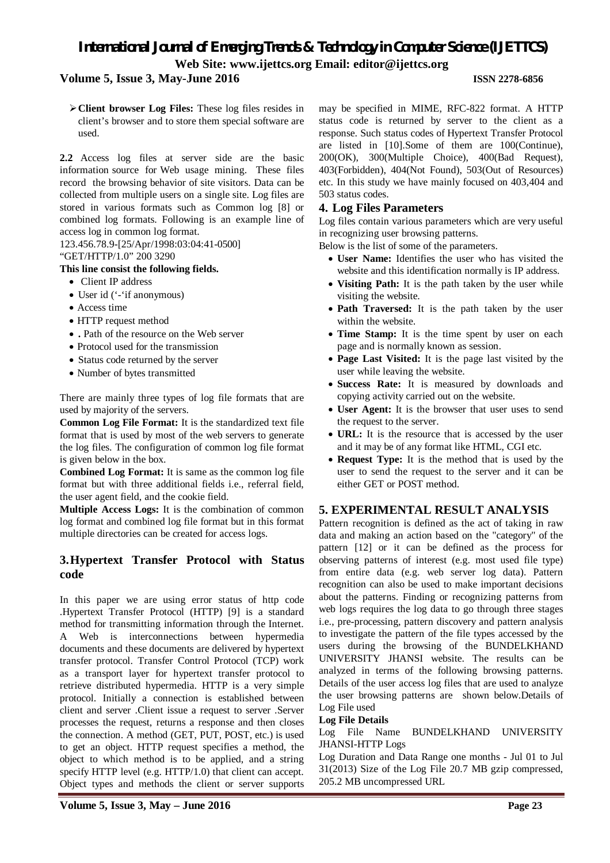# *International Journal of Emerging Trends & Technology in Computer Science (IJETTCS)* **Web Site: www.ijettcs.org Email: editor@ijettcs.org**

### **Volume 5, Issue 3, May-June 2016 ISSN 2278-6856**

**Client browser Log Files:** These log files resides in client's browser and to store them special software are used.

**2.2** Access log files at server side are the basic information source for Web usage mining. These files record the browsing behavior of site visitors. Data can be collected from multiple users on a single site. Log files are stored in various formats such as Common log [8] or combined log formats. Following is an example line of access log in common log format.

123.456.78.9-[25/Apr/1998:03:04:41-0500]

# "GET/HTTP/1.0" 200 3290

# **This line consist the following fields.**

- Client IP address
- User id ('-'if anonymous)
- Access time
- HTTP request method
- **.** Path of the resource on the Web server
- Protocol used for the transmission
- Status code returned by the server
- Number of bytes transmitted

There are mainly three types of log file formats that are used by majority of the servers.

**Common Log File Format:** It is the standardized text file format that is used by most of the web servers to generate the log files. The configuration of common log file format is given below in the box.

**Combined Log Format:** It is same as the common log file format but with three additional fields i.e., referral field, the user agent field, and the cookie field.

**Multiple Access Logs:** It is the combination of common log format and combined log file format but in this format multiple directories can be created for access logs.

# **3.Hypertext Transfer Protocol with Status code**

In this paper we are using error status of http code .Hypertext Transfer Protocol (HTTP) [9] is a standard method for transmitting information through the Internet. A Web is interconnections between hypermedia documents and these documents are delivered by hypertext transfer protocol. Transfer Control Protocol (TCP) work as a transport layer for hypertext transfer protocol to retrieve distributed hypermedia. HTTP is a very simple protocol. Initially a connection is established between client and server .Client issue a request to server .Server processes the request, returns a response and then closes the connection. A method (GET, PUT, POST, etc.) is used to get an object. HTTP request specifies a method, the object to which method is to be applied, and a string specify HTTP level (e.g. HTTP/1.0) that client can accept. Object types and methods the client or server supports

may be specified in MIME, RFC-822 format. A HTTP status code is returned by server to the client as a response. Such status codes of Hypertext Transfer Protocol are listed in [10].Some of them are 100(Continue), 200(OK), 300(Multiple Choice), 400(Bad Request), 403(Forbidden), 404(Not Found), 503(Out of Resources) etc. In this study we have mainly focused on 403,404 and 503 status codes.

# **4. Log Files Parameters**

Log files contain various parameters which are very useful in recognizing user browsing patterns.

Below is the list of some of the parameters.

- **User Name:** Identifies the user who has visited the website and this identification normally is IP address.
- **Visiting Path:** It is the path taken by the user while visiting the website.
- Path Traversed: It is the path taken by the user within the website.
- Time Stamp: It is the time spent by user on each page and is normally known as session.
- **Page Last Visited:** It is the page last visited by the user while leaving the website.
- **Success Rate:** It is measured by downloads and copying activity carried out on the website.
- **User Agent:** It is the browser that user uses to send the request to the server.
- **URL:** It is the resource that is accessed by the user and it may be of any format like HTML, CGI etc.
- **Request Type:** It is the method that is used by the user to send the request to the server and it can be either GET or POST method.

# **5. EXPERIMENTAL RESULT ANALYSIS**

Pattern recognition is defined as the act of taking in raw data and making an action based on the "category" of the pattern [12] or it can be defined as the process for observing patterns of interest (e.g. most used file type) from entire data (e.g. web server log data). Pattern recognition can also be used to make important decisions about the patterns. Finding or recognizing patterns from web logs requires the log data to go through three stages i.e., pre-processing, pattern discovery and pattern analysis to investigate the pattern of the file types accessed by the users during the browsing of the BUNDELKHAND UNIVERSITY JHANSI website. The results can be analyzed in terms of the following browsing patterns. Details of the user access log files that are used to analyze the user browsing patterns are shown below.Details of Log File used

# **Log File Details**

#### Log File Name BUNDELKHAND UNIVERSITY JHANSI-HTTP Logs

Log Duration and Data Range one months - Jul 01 to Jul 31(2013) Size of the Log File 20.7 MB gzip compressed, 205.2 MB uncompressed URL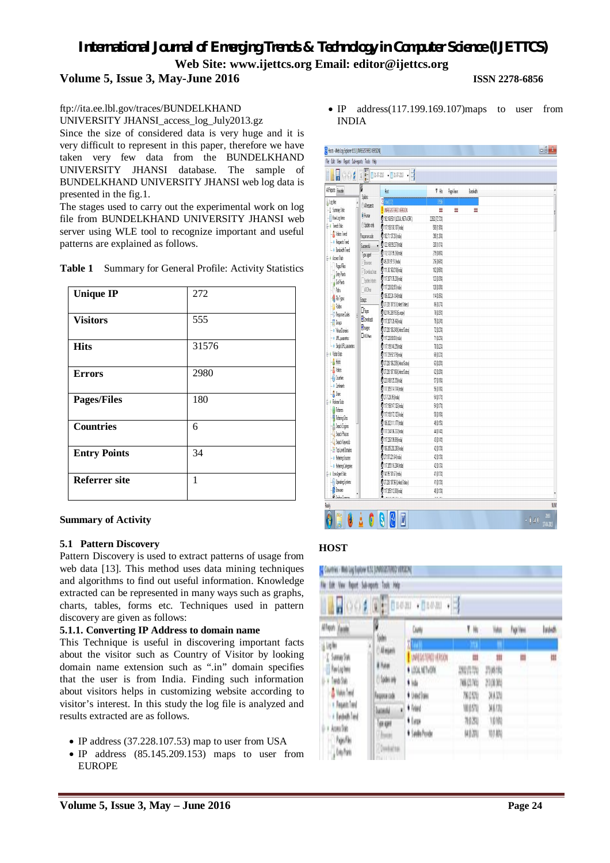# *International Journal of Emerging Trends & Technology in Computer Science (IJETTCS)* **Web Site: www.ijettcs.org Email: editor@ijettcs.org**

**Volume 5, Issue 3, May-June 2016 ISSN 2278-6856**

# ftp://ita.ee.lbl.gov/traces/BUNDELKHAND

UNIVERSITY JHANSI\_access\_log\_July2013.gz

Since the size of considered data is very huge and it is very difficult to represent in this paper, therefore we have taken very few data from the BUNDELKHAND UNIVERSITY JHANSI database. The sample of BUNDELKHAND UNIVERSITY JHANSI web log data is presented in the fig.1.

The stages used to carry out the experimental work on log file from BUNDELKHAND UNIVERSITY JHANSI web server using WLE tool to recognize important and useful patterns are explained as follows.

|  | Table 1 Summary for General Profile: Activity Statistics |  |  |  |  |
|--|----------------------------------------------------------|--|--|--|--|
|--|----------------------------------------------------------|--|--|--|--|

| <b>Unique IP</b>     | 272   |
|----------------------|-------|
| <b>Visitors</b>      | 555   |
| <b>Hits</b>          | 31576 |
| <b>Errors</b>        | 2980  |
| <b>Pages/Files</b>   | 180   |
| <b>Countries</b>     | 6     |
| <b>Entry Points</b>  | 34    |
| <b>Referrer site</b> | 1     |

#### **Summary of Activity**

#### **5.1 Pattern Discovery**

Pattern Discovery is used to extract patterns of usage from web data [13]. This method uses data mining techniques and algorithms to find out useful information. Knowledge extracted can be represented in many ways such as graphs, charts, tables, forms etc. Techniques used in pattern discovery are given as follows:

#### **5.1.1. Converting IP Address to domain name**

This Technique is useful in discovering important facts about the visitor such as Country of Visitor by looking domain name extension such as ".in" domain specifies that the user is from India. Finding such information about visitors helps in customizing website according to visitor's interest. In this study the log file is analyzed and results extracted are as follows.

- IP address (37.228.107.53) map to user from USA
- IP address (85.145.209.153) maps to user from EUROPE

• IP address(117.199.169.107) maps to user from INDIA

| Hosts - Web Log Explorer 6.51 (UNREGISTERED VERSION) |                      |                                     |             |            |        | $-6x$                     |
|------------------------------------------------------|----------------------|-------------------------------------|-------------|------------|--------|---------------------------|
| File Edit View Report Sub-reports Tools Help         |                      |                                     |             |            |        |                           |
| 5<br>$\frac{1}{2}$                                   | $\frac{1}{8}$<br>Ú   | $1347-203$ $-1347-203$ $-14$        |             |            |        |                           |
| Al Reports Favorite                                  | Ø                    | Hot                                 | T He        | Page Views | Badeth |                           |
| <b>Logiles</b><br>$\overline{1}$                     | Spiders              | $\sum \log  U $                     | 353         |            |        |                           |
| -C Sumay State                                       | <b>O All equests</b> | <b>U</b> UNREGISTERED VERSION       | Ш           | ₩          | ₩      |                           |
| - <b>RevLogliens</b>                                 | 0 Huan               | <b>3</b> 19216850.1 (LOCAL NETWORK) | 2002 17:723 |            |        |                           |
| G- I Trends State                                    | <b>Saides only</b>   | 117.199.169.107 (nde)               | 5911.903    |            |        |                           |
| - A Visitos Trend                                    | Response code        | $(1827113726)$ Inde)                | 39   268    |            |        |                           |
| - I Heavest Trend                                    | Successful           | 0 1221899277 (hóa)                  | 3201.013    |            |        |                           |
| - Bandvidt Trend                                     | Type agent           | 0 1121319926 (nóa)                  | 279 0 88%   |            |        |                           |
| <b>B-</b> Access Stats                               | 7 Broven             | 0 430.951 India                     | 260.084     |            |        |                           |
| PapelFlex                                            | 7 Download man.      | 0 111.93.160.218 (hdia)             | 18,0581     |            |        |                           |
| , ExterPoints                                        | Snideshobes          | 0 11720713520 (nda)                 | 120331      |            |        |                           |
| d Ext Ponts<br>Páto                                  | <b>TallOher</b>      | 0 1172203285 (nda)                  | 1210388     |            |        |                           |
| <b>A</b> Fle Types                                   |                      | 0 10620224.134 (hda)                | 11033       |            |        |                           |
| - <mark>C</mark> Folders                             | Goupa                | 37.228.107.53 (United States)       | 802731      |            |        |                           |
| - O Response Codes                                   | <b>O</b> Page:       | <b>6 12145 209.153 [Europe]</b>     | 70.23       |            |        |                           |
| $-\frac{1}{2}$ Grups                                 | <b>ZDavicets</b>     | 0 1172071206 (hóa)                  | 75 0 242    |            |        |                           |
| - O Vital Donaire                                    | <b>Z</b> hae         | 37.228.106.249 (United States)      | 72 0 23%    |            |        |                           |
| - I I R, paaneles                                    | <b>Old Ohen</b>      | 2 1172208050 (nda)                  | 71,023      |            |        |                           |
| - • Single UFIL palanelers                           |                      | 0 117.199.148.25 (hds)              | 70,023      |            |        |                           |
| G-+ Valor State                                      |                      | 0 1172392179 (nda)                  | 6102231     |            |        |                           |
| $-\frac{1}{2}$ Hots                                  |                      | 3 37.228 106.235 (United States)    | 6102031     |            |        |                           |
| $-\frac{1}{24}$ Value                                |                      | 3 37.228.107.186 (Linked States)    | 610.201     |            |        |                           |
| -W Courties                                          |                      | 3 223.118.125.35 (India)            | 50 OS       |            |        |                           |
| $-$ 0 Confinents                                     |                      | 0 117205114114 India                | 50181       |            |        |                           |
| $-\frac{1}{10}$ Uses                                 |                      | 27.7.220 95 (hóa)                   | 9014        |            |        |                           |
| A - o Referrer Stats                                 |                      | 0 117.199.147.126 India             | 5410.1731   |            |        |                           |
| Reference                                            |                      | <b>0</b> 117.199.172.125 India      | 510.1631    |            |        |                           |
| - <mark>S</mark> Releting Sites                      |                      | 0 106202111.177 Indel               | 40.631      |            |        |                           |
| $-\frac{\hbar}{\hbar}$ SeachEngines                  |                      | 0 117234106232 India                | 4010        |            |        |                           |
| Seach Phrases                                        |                      | 0 117.26.109.19 (hda)               | 4014        |            |        |                           |
| -C Seach Keywords<br>- TipLevelDonairs               |                      | 0 106205202208 Inde)                | 4,013)      |            |        |                           |
| - O Relering Sources                                 |                      | 3 77.107.271.64 (India)             | 4,0131      |            |        |                           |
| - O Releting Categories                              |                      | 0 117205116204 (nde)                | 4,0131      |            |        |                           |
| G + Use Agent State                                  |                      | 0 14195101.67 (nda)                 | 40131       |            |        |                           |
| <b>Collecting Systems</b>                            |                      | 3 37.228 107.96 (United States)     | 40131       |            |        |                           |
| <b>B</b> Breast                                      |                      | 11720511280 (hda)                   | 4101331     |            |        |                           |
| <u>Eccles C</u>                                      |                      |                                     |             |            |        |                           |
| Peaty                                                |                      |                                     |             |            |        | <b>NJV</b>                |
| 陋<br>J                                               | Ģ<br>٥               | Q<br>W<br>S                         |             |            |        | 2003<br>i140<br>1748-2015 |

### **HOST**

| heet<br>lë<br>h.<br>Ļ<br>j                                                                                                                                | Sabingoda<br>lat<br>hè<br>ÿ.<br><b>JIAN</b>                                                                            | $+ 01000$<br>ÿ                                                                                           | - 1<br>ы<br>ш                                                       |                                                 |            |         |
|-----------------------------------------------------------------------------------------------------------------------------------------------------------|------------------------------------------------------------------------------------------------------------------------|----------------------------------------------------------------------------------------------------------|---------------------------------------------------------------------|-------------------------------------------------|------------|---------|
| Alfreds Equite                                                                                                                                            | P                                                                                                                      | <b>Cum</b>                                                                                               | ü,<br>ŧ                                                             | ilar                                            | Free House | Intelli |
| 调制<br>Sanay Sak<br><b>In Lylin</b><br>imbia<br><b>Stanley</b><br>+ Aspet Toyl<br>- + fashib and<br>Associates<br>I.<br>Popular<br>$\frac{1}{2}$ Day Ports | (pin<br>í<br>Alegan<br>t han<br><b>Spinser</b><br>Tegova cole<br><b>luiseki</b><br>Ŧ<br>am<br><b>SHIP</b><br>/ Jackson | <b><i>UNIVERSITY</i></b><br>· DAY NOT<br><b>Vide</b><br>* Used Suite<br>1 legal<br>4 lap<br>· Seda Poste | Ш<br><b>PEGIN</b><br><b>CELL RD</b><br>MESS.<br>删块<br>11 A<br>MOZNI | Ш<br>710130<br>71 O.K<br>3433<br>耳肌<br>咖啡<br>別胸 | Ш          | W       |